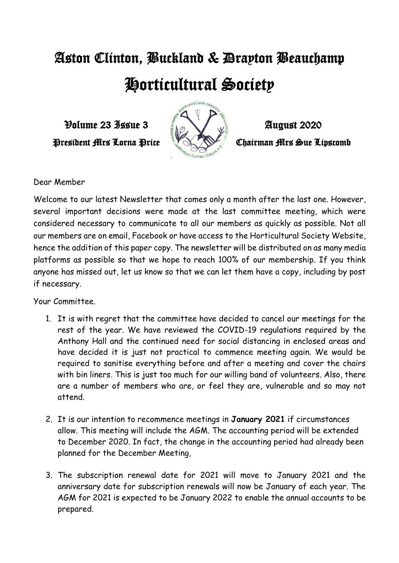## Aston Clinton, Buckland & Drayton Beauchamp Horticultural Society

 $\mathcal{V}$ olume 23 Issue 3  $\mathcal{V}$   $\mathcal{V}$   $\mathcal{V}$   $\mathcal{V}$   $\mathcal{V}$   $\mathcal{V}$   $\mathcal{V}$   $\mathcal{V}$   $\mathcal{V}$   $\mathcal{V}$   $\mathcal{V}$   $\mathcal{V}$   $\mathcal{V}$   $\mathcal{V}$   $\mathcal{V}$   $\mathcal{V}$   $\mathcal{V}$   $\mathcal{V}$   $\mathcal{V}$   $\mathcal{V}$   $\mathcal{V}$   $\mathcal{V}$ 



President Mrs Lorna Price **Carl Chairman Mrs Sue Lipscomb** 

Dear Member

Welcome to our latest Newsletter that comes only a month after the last one. However, several important decisions were made at the last committee meeting, which were considered necessary to communicate to all our members as quickly as possible. Not all our members are on email, Facebook or have access to the Horticultural Society Website, hence the addition of this paper copy. The newsletter will be distributed on as many media platforms as possible so that we hope to reach 100% of our membership. If you think anyone has missed out, let us know so that we can let them have a copy, including by post if necessary.

Your Committee.

- 1. It is with regret that the committee have decided to cancel our meetings for the rest of the year. We have reviewed the COVID-19 regulations required by the Anthony Hall and the continued need for social distancing in enclosed areas and have decided it is just not practical to commence meeting again. We would be required to sanitise everything before and after a meeting and cover the chairs with bin liners. This is just too much for our willing band of volunteers. Also, there are a number of members who are, or feel they are, vulnerable and so may not attend.
- 2. It is our intention to recommence meetings in **January 2021** if circumstances allow. This meeting will include the AGM. The accounting period will be extended to December 2020. In fact, the change in the accounting period had already been planned for the December Meeting,
- 3. The subscription renewal date for 2021 will move to January 2021 and the anniversary date for subscription renewals will now be January of each year. The AGM for 2021 is expected to be January 2022 to enable the annual accounts to be prepared.